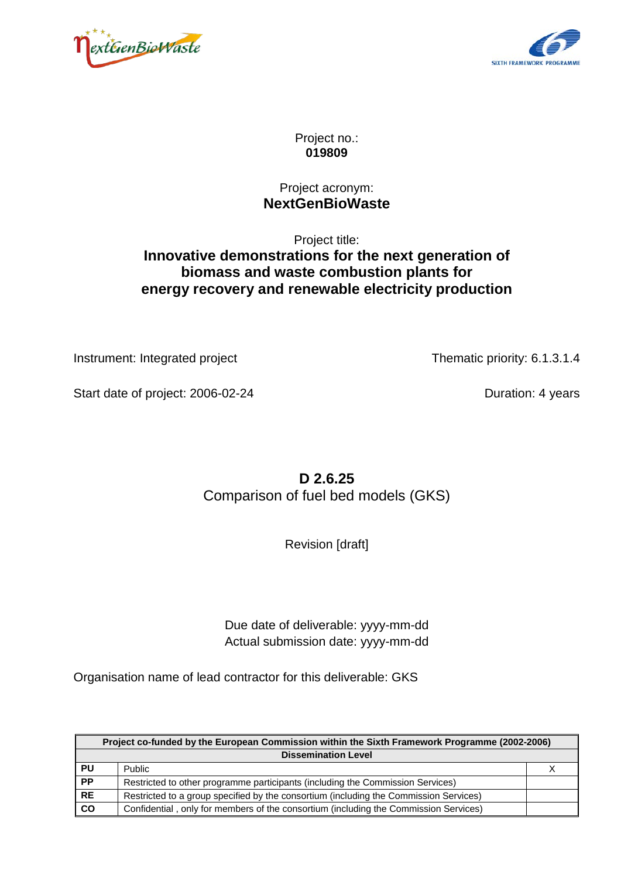



Project no.: **019809**

#### Project acronym: **NextGenBioWaste**

## Project title: **Innovative demonstrations for the next generation of biomass and waste combustion plants for energy recovery and renewable electricity production**

Instrument: Integrated project Thematic priority: 6.1.3.1.4

Start date of project: 2006-02-24 Duration: 4 years

**D 2.6.25** Comparison of fuel bed models (GKS)

Revision [draft]

Due date of deliverable: yyyy-mm-dd Actual submission date: yyyy-mm-dd

Organisation name of lead contractor for this deliverable: GKS

|                 | Project co-funded by the European Commission within the Sixth Framework Programme (2002-2006) |  |  |  |
|-----------------|-----------------------------------------------------------------------------------------------|--|--|--|
|                 | <b>Dissemination Level</b>                                                                    |  |  |  |
| <b>PU</b>       | <b>Public</b>                                                                                 |  |  |  |
| PP              | Restricted to other programme participants (including the Commission Services)                |  |  |  |
| RE              | Restricted to a group specified by the consortium (including the Commission Services)         |  |  |  |
| $\overline{co}$ | Confidential, only for members of the consortium (including the Commission Services)          |  |  |  |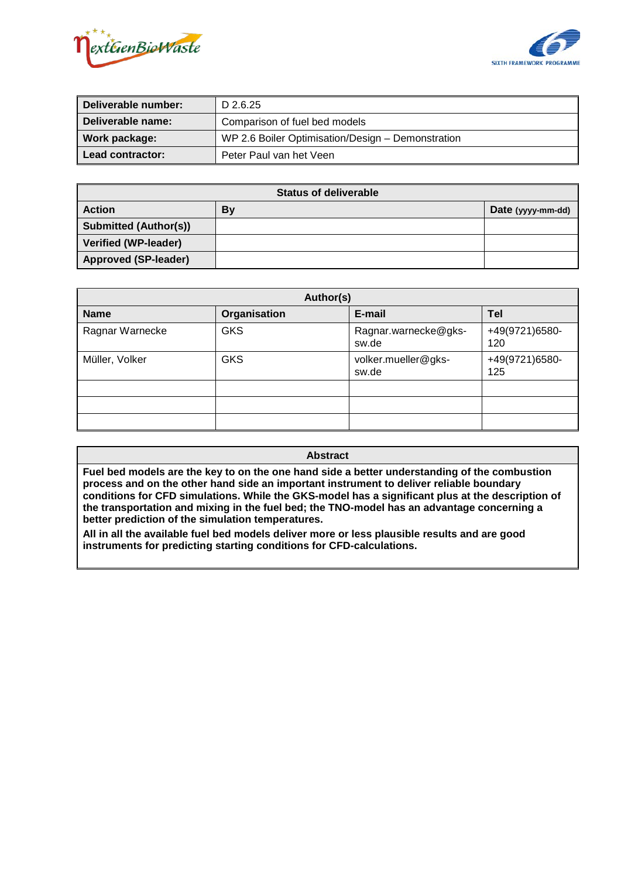



| Deliverable number: | D 2.6.25                                          |  |
|---------------------|---------------------------------------------------|--|
| Deliverable name:   | Comparison of fuel bed models                     |  |
| Work package:       | WP 2.6 Boiler Optimisation/Design - Demonstration |  |
| Lead contractor:    | Peter Paul van het Veen                           |  |

| <b>Status of deliverable</b> |    |                   |  |  |
|------------------------------|----|-------------------|--|--|
| <b>I</b> Action              | By | Date (yyyy-mm-dd) |  |  |
| Submitted (Author(s))        |    |                   |  |  |
| Verified (WP-leader)         |    |                   |  |  |
| Approved (SP-leader)         |    |                   |  |  |

| Author(s)                    |            |                               |                       |  |  |
|------------------------------|------------|-------------------------------|-----------------------|--|--|
| <b>Name</b><br>Organisation  |            | E-mail                        | Tel                   |  |  |
| Ragnar Warnecke              | <b>GKS</b> | Ragnar.warnecke@gks-<br>sw.de | +49(9721)6580-<br>120 |  |  |
| <b>GKS</b><br>Müller, Volker |            | volker.mueller@gks-<br>sw.de  | +49(9721)6580-<br>125 |  |  |
|                              |            |                               |                       |  |  |
|                              |            |                               |                       |  |  |
|                              |            |                               |                       |  |  |

**Abstract**

**Fuel bed models are the key to on the one hand side a better understanding of the combustion process and on the other hand side an important instrument to deliver reliable boundary conditions for CFD simulations. While the GKS-model has a significant plus at the description of the transportation and mixing in the fuel bed; the TNO-model has an advantage concerning a better prediction of the simulation temperatures.** 

**All in all the available fuel bed models deliver more or less plausible results and are good instruments for predicting starting conditions for CFD-calculations.**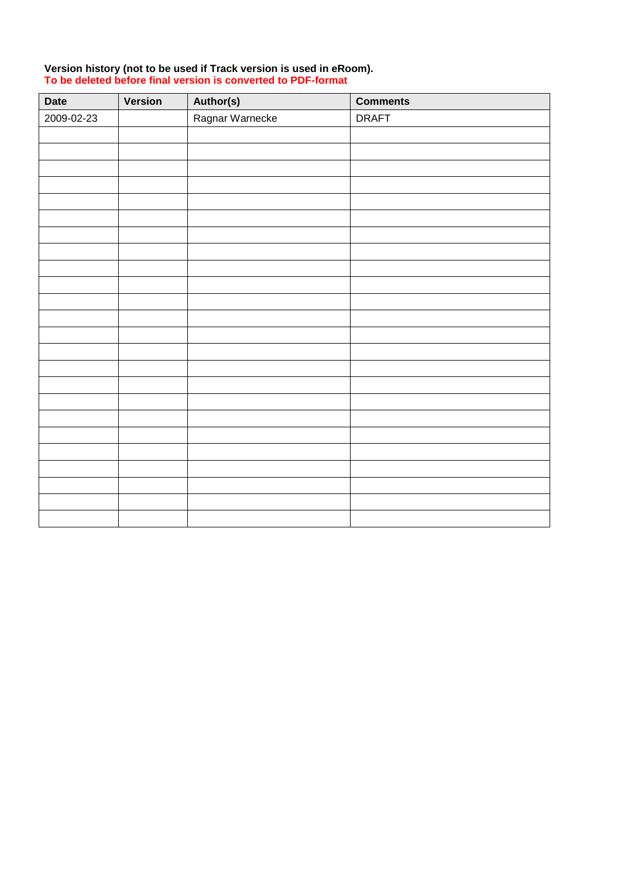| Date       | Version | Author(s)       | <b>Comments</b> |
|------------|---------|-----------------|-----------------|
| 2009-02-23 |         | Ragnar Warnecke | <b>DRAFT</b>    |
|            |         |                 |                 |
|            |         |                 |                 |
|            |         |                 |                 |
|            |         |                 |                 |
|            |         |                 |                 |
|            |         |                 |                 |
|            |         |                 |                 |
|            |         |                 |                 |
|            |         |                 |                 |
|            |         |                 |                 |
|            |         |                 |                 |
|            |         |                 |                 |
|            |         |                 |                 |
|            |         |                 |                 |
|            |         |                 |                 |
|            |         |                 |                 |
|            |         |                 |                 |
|            |         |                 |                 |
|            |         |                 |                 |
|            |         |                 |                 |
|            |         |                 |                 |
|            |         |                 |                 |
|            |         |                 |                 |
|            |         |                 |                 |

#### **Version history (not to be used if Track version is used in eRoom). To be deleted before final version is converted to PDF-format**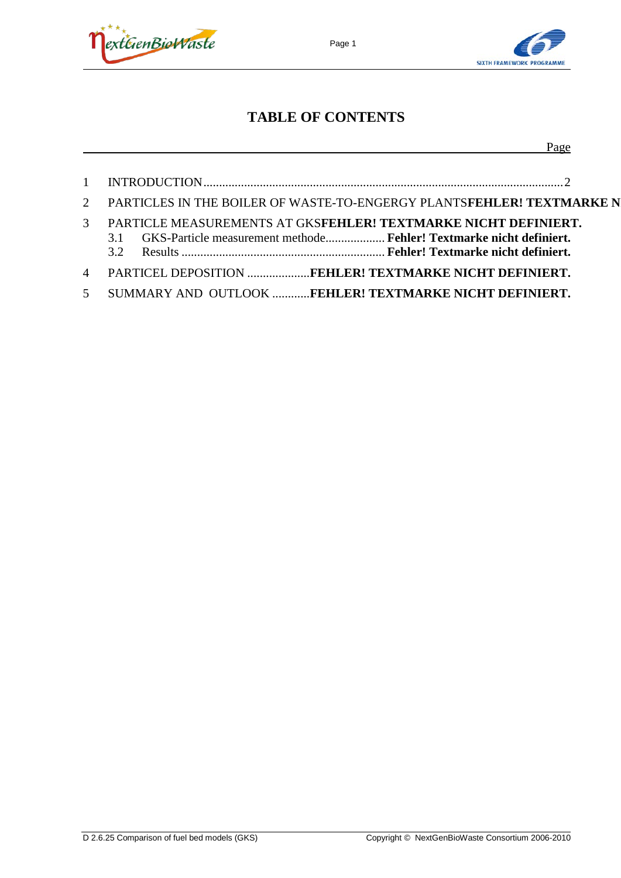



Page

## **TABLE OF CONTENTS**

|               | PARTICLES IN THE BOILER OF WASTE-TO-ENGERGY PLANTSFEHLER! TEXTMARKE N                                                                       |
|---------------|---------------------------------------------------------------------------------------------------------------------------------------------|
| $\mathcal{R}$ | PARTICLE MEASUREMENTS AT GKSFEHLER! TEXTMARKE NICHT DEFINIERT.<br>GKS-Particle measurement methode Fehler! Textmarke nicht definiert.<br>31 |
|               | PARTICEL DEPOSITION FEHLER! TEXTMARKE NICHT DEFINIERT.                                                                                      |
| $\mathcal{F}$ | SUMMARY AND OUTLOOK FEHLER! TEXTMARKE NICHT DEFINIERT.                                                                                      |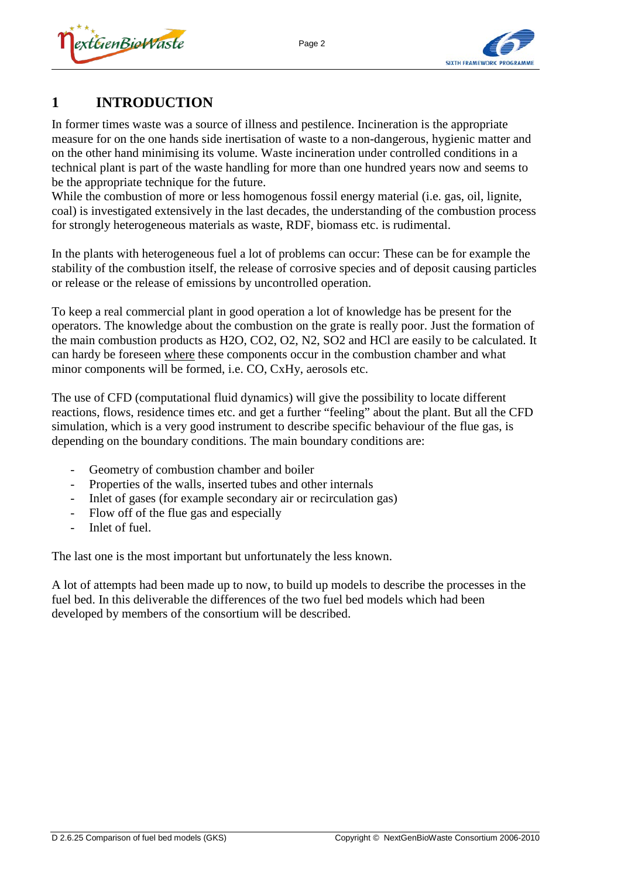



## **1 INTRODUCTION**

In former times waste was a source of illness and pestilence. Incineration is the appropriate measure for on the one hands side inertisation of waste to a non-dangerous, hygienic matter and on the other hand minimising its volume. Waste incineration under controlled conditions in a technical plant is part of the waste handling for more than one hundred years now and seems to be the appropriate technique for the future.

While the combustion of more or less homogenous fossil energy material (i.e. gas, oil, lignite, coal) is investigated extensively in the last decades, the understanding of the combustion process for strongly heterogeneous materials as waste, RDF, biomass etc. is rudimental.

In the plants with heterogeneous fuel a lot of problems can occur: These can be for example the stability of the combustion itself, the release of corrosive species and of deposit causing particles or release or the release of emissions by uncontrolled operation.

To keep a real commercial plant in good operation a lot of knowledge has be present for the operators. The knowledge about the combustion on the grate is really poor. Just the formation of the main combustion products as H2O, CO2, O2, N2, SO2 and HCl are easily to be calculated. It can hardy be foreseen where these components occur in the combustion chamber and what minor components will be formed, i.e. CO, CxHy, aerosols etc.

The use of CFD (computational fluid dynamics) will give the possibility to locate different reactions, flows, residence times etc. and get a further "feeling" about the plant. But all the CFD simulation, which is a very good instrument to describe specific behaviour of the flue gas, is depending on the boundary conditions. The main boundary conditions are:

- Geometry of combustion chamber and boiler
- Properties of the walls, inserted tubes and other internals
- Inlet of gases (for example secondary air or recirculation gas)
- Flow off of the flue gas and especially
- Inlet of fuel.

The last one is the most important but unfortunately the less known.

A lot of attempts had been made up to now, to build up models to describe the processes in the fuel bed. In this deliverable the differences of the two fuel bed models which had been developed by members of the consortium will be described.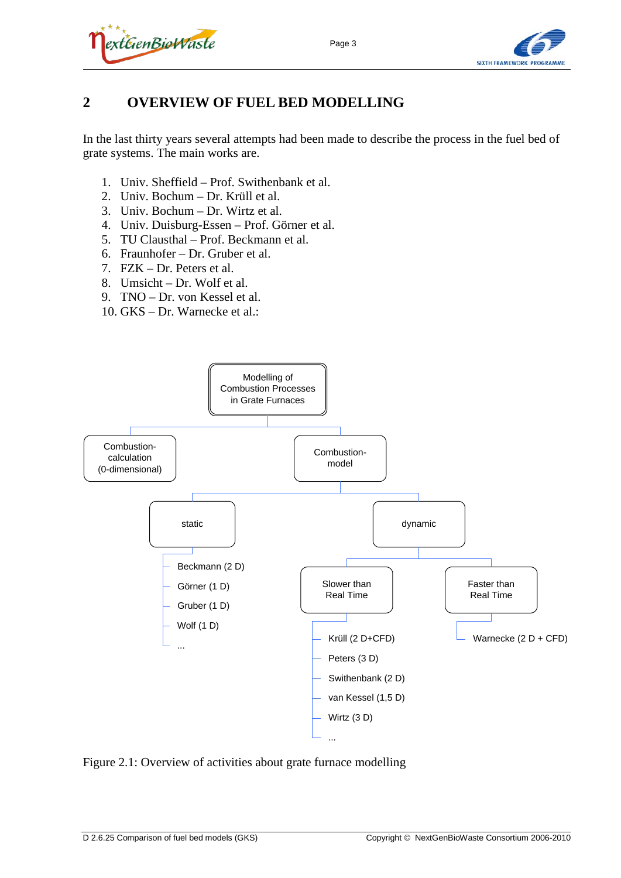



## **2 OVERVIEW OF FUEL BED MODELLING**

In the last thirty years several attempts had been made to describe the process in the fuel bed of grate systems. The main works are.

- 1. Univ. Sheffield Prof. Swithenbank et al.
- 2. Univ. Bochum Dr. Krüll et al.
- 3. Univ. Bochum Dr. Wirtz et al.
- 4. Univ. Duisburg-Essen Prof. Görner et al.
- 5. TU Clausthal Prof. Beckmann et al.
- 6. Fraunhofer Dr. Gruber et al.
- 7. FZK Dr. Peters et al.
- 8. Umsicht Dr. Wolf et al.
- 9. TNO Dr. von Kessel et al.
- 10. GKS Dr. Warnecke et al.:



Figure 2.1: Overview of activities about grate furnace modelling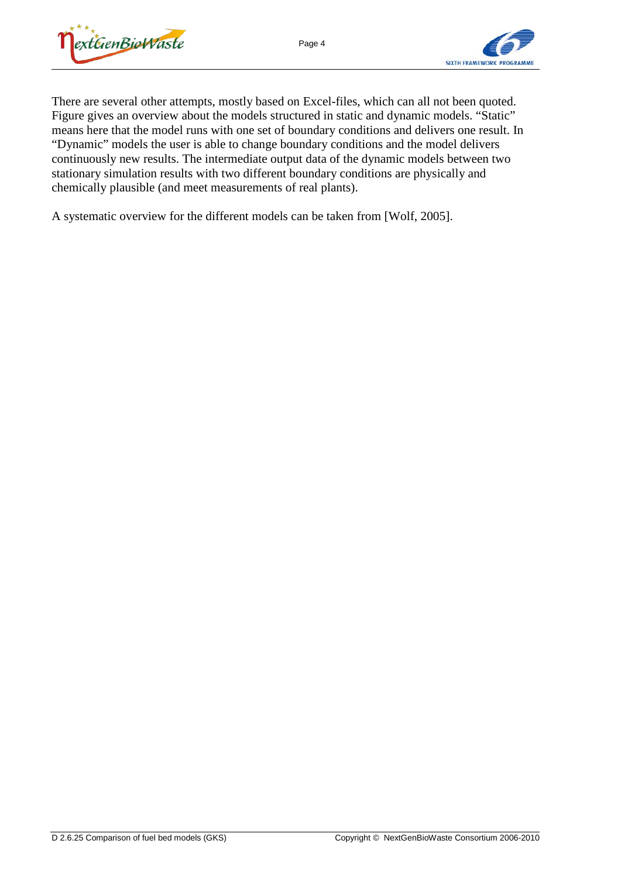



There are several other attempts, mostly based on Excel-files, which can all not been quoted. Figure gives an overview about the models structured in static and dynamic models. "Static" means here that the model runs with one set of boundary conditions and delivers one result. In "Dynamic" models the user is able to change boundary conditions and the model delivers continuously new results. The intermediate output data of the dynamic models between two stationary simulation results with two different boundary conditions are physically and chemically plausible (and meet measurements of real plants).

A systematic overview for the different models can be taken from [Wolf, 2005].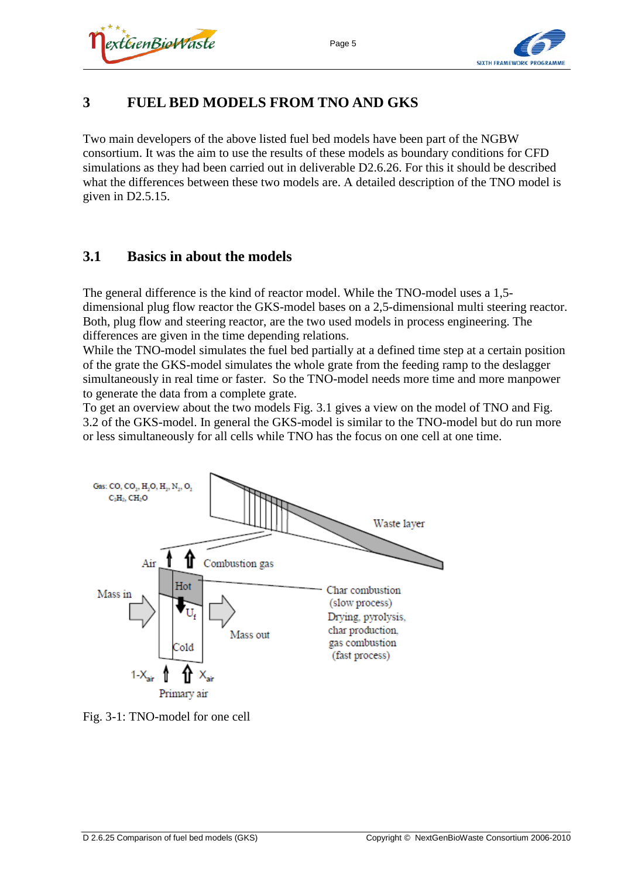



## **3 FUEL BED MODELS FROM TNO AND GKS**

Two main developers of the above listed fuel bed models have been part of the NGBW consortium. It was the aim to use the results of these models as boundary conditions for CFD simulations as they had been carried out in deliverable D2.6.26. For this it should be described what the differences between these two models are. A detailed description of the TNO model is given in D2.5.15.

#### **3.1 Basics in about the models**

The general difference is the kind of reactor model. While the TNO-model uses a 1,5 dimensional plug flow reactor the GKS-model bases on a 2,5-dimensional multi steering reactor. Both, plug flow and steering reactor, are the two used models in process engineering. The differences are given in the time depending relations.

While the TNO-model simulates the fuel bed partially at a defined time step at a certain position of the grate the GKS-model simulates the whole grate from the feeding ramp to the deslagger simultaneously in real time or faster. So the TNO-model needs more time and more manpower to generate the data from a complete grate.

To get an overview about the two models [Fig. 3.1](#page-8-0) gives a view on the model of TNO and [Fig.](#page-9-0)  [3.2](#page-9-0) of the GKS-model. In general the GKS-model is similar to the TNO-model but do run more or less simultaneously for all cells while TNO has the focus on one cell at one time.



<span id="page-8-0"></span>Fig. 3-1: TNO-model for one cell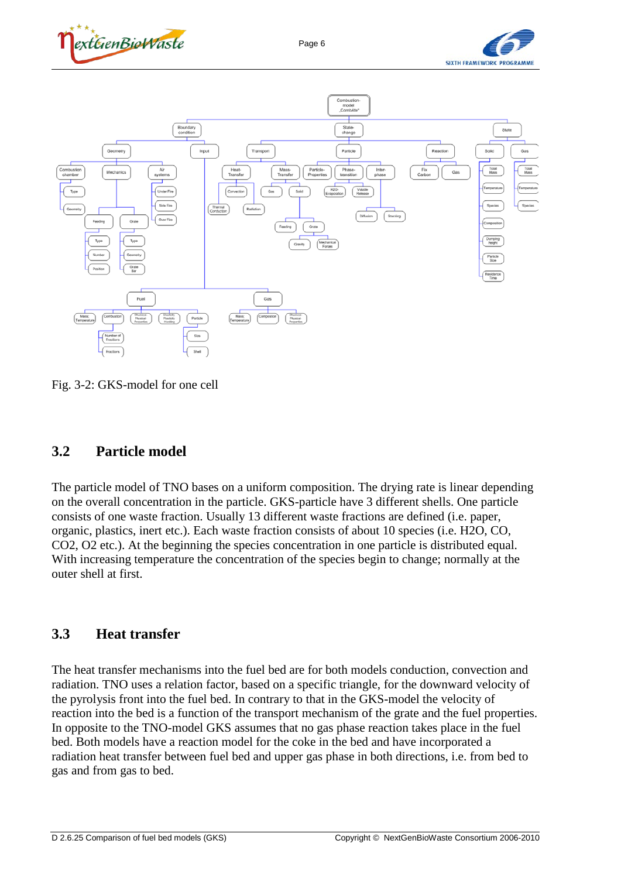





<span id="page-9-0"></span>Fig. 3-2: GKS-model for one cell

#### **3.2 Particle model**

The particle model of TNO bases on a uniform composition. The drying rate is linear depending on the overall concentration in the particle. GKS-particle have 3 different shells. One particle consists of one waste fraction. Usually 13 different waste fractions are defined (i.e. paper, organic, plastics, inert etc.). Each waste fraction consists of about 10 species (i.e. H2O, CO, CO2, O2 etc.). At the beginning the species concentration in one particle is distributed equal. With increasing temperature the concentration of the species begin to change; normally at the outer shell at first.

#### **3.3 Heat transfer**

The heat transfer mechanisms into the fuel bed are for both models conduction, convection and radiation. TNO uses a relation factor, based on a specific triangle, for the downward velocity of the pyrolysis front into the fuel bed. In contrary to that in the GKS-model the velocity of reaction into the bed is a function of the transport mechanism of the grate and the fuel properties. In opposite to the TNO-model GKS assumes that no gas phase reaction takes place in the fuel bed. Both models have a reaction model for the coke in the bed and have incorporated a radiation heat transfer between fuel bed and upper gas phase in both directions, i.e. from bed to gas and from gas to bed.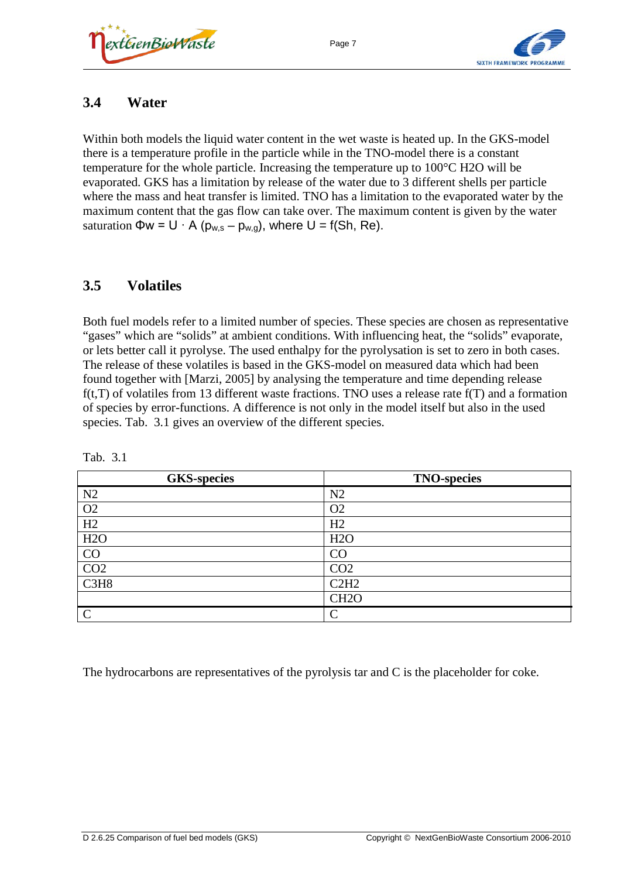



### **3.4 Water**

Within both models the liquid water content in the wet waste is heated up. In the GKS-model there is a temperature profile in the particle while in the TNO-model there is a constant temperature for the whole particle. Increasing the temperature up to 100°C H2O will be evaporated. GKS has a limitation by release of the water due to 3 different shells per particle where the mass and heat transfer is limited. TNO has a limitation to the evaporated water by the maximum content that the gas flow can take over. The maximum content is given by the water saturation  $\Phi w = U \cdot A (p_{w,s} - p_{w,q})$ , where  $U = f(Sh, Re)$ .

### **3.5 Volatiles**

Both fuel models refer to a limited number of species. These species are chosen as representative "gases" which are "solids" at ambient conditions. With influencing heat, the "solids" evaporate, or lets better call it pyrolyse. The used enthalpy for the pyrolysation is set to zero in both cases. The release of these volatiles is based in the GKS-model on measured data which had been found together with [Marzi, 2005] by analysing the temperature and time depending release f(t,T) of volatiles from 13 different waste fractions. TNO uses a release rate f(T) and a formation of species by error-functions. A difference is not only in the model itself but also in the used species. [Tab. 3.1](#page-10-0) gives an overview of the different species.

| <b>GKS-species</b> | <b>TNO-species</b> |
|--------------------|--------------------|
| N2                 | N2                 |
| O2                 | O <sub>2</sub>     |
| H2                 | H2                 |
| H2O                | H2O                |
| CO                 | CO                 |
| CO <sub>2</sub>    | CO <sub>2</sub>    |
| C3H8               | C2H2               |
|                    | CH <sub>2</sub> O  |
| $\mathcal{C}$      | $\curvearrowright$ |

<span id="page-10-0"></span>Tab. 3.1

The hydrocarbons are representatives of the pyrolysis tar and C is the placeholder for coke.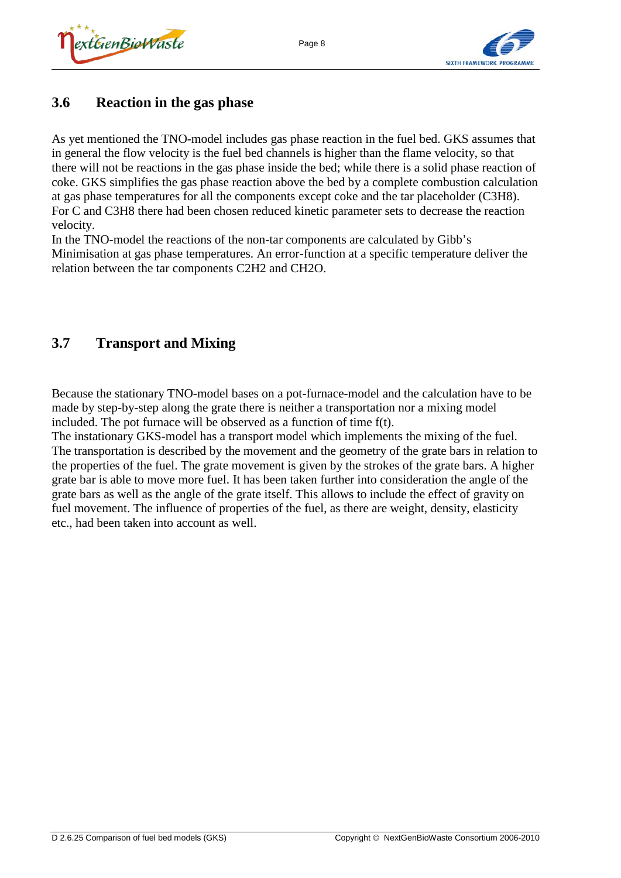## **3.6 Reaction in the gas phase**

As yet mentioned the TNO-model includes gas phase reaction in the fuel bed. GKS assumes that in general the flow velocity is the fuel bed channels is higher than the flame velocity, so that there will not be reactions in the gas phase inside the bed; while there is a solid phase reaction of coke. GKS simplifies the gas phase reaction above the bed by a complete combustion calculation at gas phase temperatures for all the components except coke and the tar placeholder (C3H8). For C and C3H8 there had been chosen reduced kinetic parameter sets to decrease the reaction velocity.

Page 8

In the TNO-model the reactions of the non-tar components are calculated by Gibb's Minimisation at gas phase temperatures. An error-function at a specific temperature deliver the relation between the tar components C2H2 and CH2O.

## **3.7 Transport and Mixing**

Because the stationary TNO-model bases on a pot-furnace-model and the calculation have to be made by step-by-step along the grate there is neither a transportation nor a mixing model included. The pot furnace will be observed as a function of time f(t).

The instationary GKS-model has a transport model which implements the mixing of the fuel. The transportation is described by the movement and the geometry of the grate bars in relation to the properties of the fuel. The grate movement is given by the strokes of the grate bars. A higher grate bar is able to move more fuel. It has been taken further into consideration the angle of the grate bars as well as the angle of the grate itself. This allows to include the effect of gravity on fuel movement. The influence of properties of the fuel, as there are weight, density, elasticity etc., had been taken into account as well.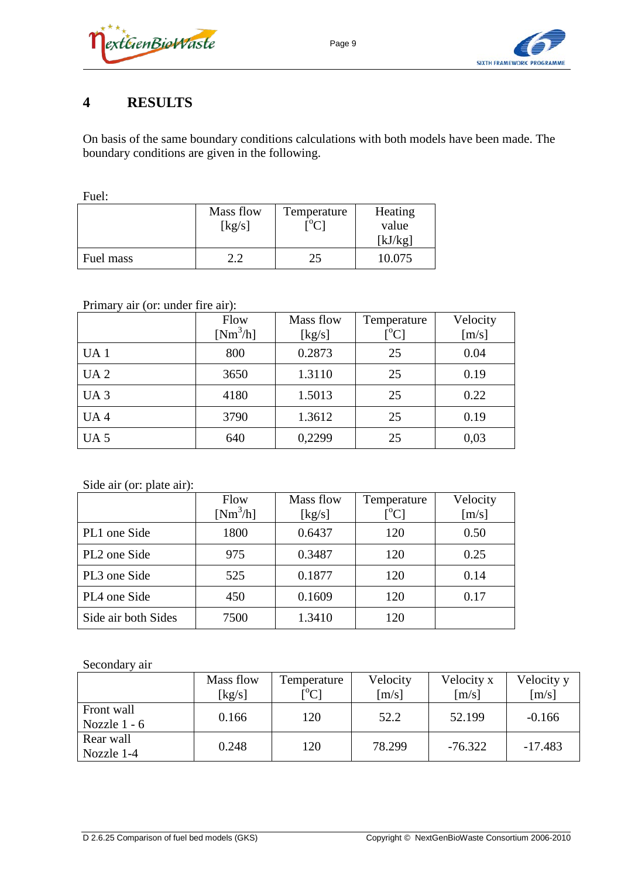



## **4 RESULTS**

On basis of the same boundary conditions calculations with both models have been made. The boundary conditions are given in the following.

Fuel:

|           | Mass flow<br>[kg/s] | Temperature<br>$L_0$ | Heating<br>value<br>[kJ/kg] |
|-----------|---------------------|----------------------|-----------------------------|
| Fuel mass | n n                 | 25                   | 10.075                      |

#### Primary air (or: under fire air):

|                 | Flow<br>$[Nm^3/h]$ | Mass flow<br>[kg/s] | Temperature<br>[°C] | Velocity<br>[m/s] |
|-----------------|--------------------|---------------------|---------------------|-------------------|
| UA <sub>1</sub> | 800                | 0.2873              | 25                  | 0.04              |
| UA <sub>2</sub> | 3650               | 1.3110              | 25                  | 0.19              |
| UA <sub>3</sub> | 4180               | 1.5013              | 25                  | 0.22              |
| UA <sub>4</sub> | 3790               | 1.3612              | 25                  | 0.19              |
| UA <sub>5</sub> | 640                | 0,2299              | 25                  | 0,03              |

#### Side air (or: plate air):

|                     | Flow<br>$[Nm^3/h]$ | Mass flow<br>[kg/s] | Temperature<br>$[^{0}C]$ | Velocity<br>$\lceil m/s \rceil$ |
|---------------------|--------------------|---------------------|--------------------------|---------------------------------|
| PL1 one Side        | 1800               | 0.6437              | 120                      | 0.50                            |
| PL2 one Side        | 975                | 0.3487              | 120                      | 0.25                            |
| PL3 one Side        | 525                | 0.1877              | 120                      | 0.14                            |
| PL4 one Side        | 450                | 0.1609              | 120                      | 0.17                            |
| Side air both Sides | 7500               | 1.3410              | 120                      |                                 |

#### Secondary air

|                              | Mass flow<br>[ $kg/s$ ] | Temperature<br>$\mathsf{I}^{\circ}$ Cl | Velocity<br>[m/s] | Velocity x<br>[m/s] | Velocity y<br>$\lceil m/s \rceil$ |
|------------------------------|-------------------------|----------------------------------------|-------------------|---------------------|-----------------------------------|
| Front wall<br>Nozzle $1 - 6$ | 0.166                   | 120                                    | 52.2              | 52.199              | $-0.166$                          |
| Rear wall<br>Nozzle 1-4      | 0.248                   | 120                                    | 78.299            | $-76.322$           | $-17.483$                         |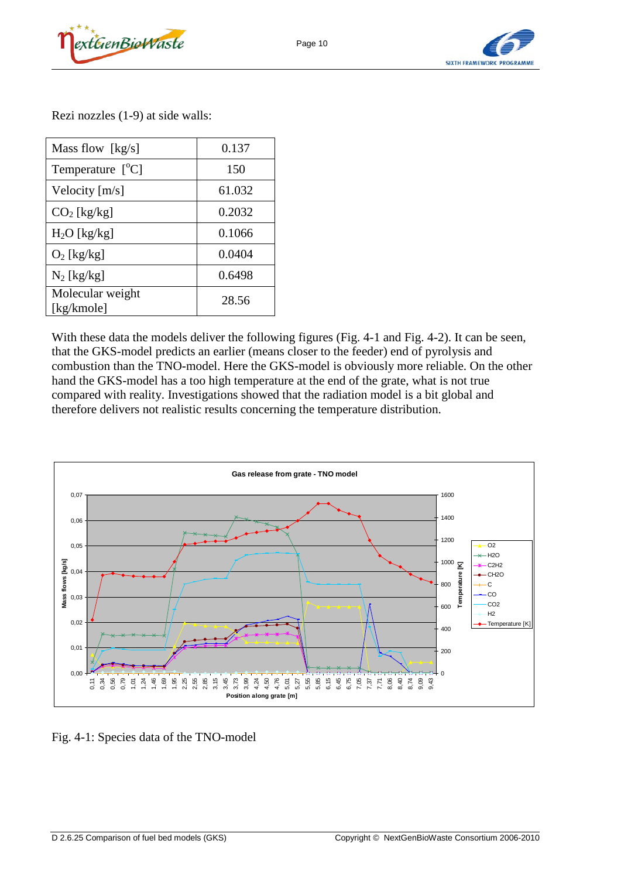



Rezi nozzles (1-9) at side walls:

| Mass flow $[kg/s]$             | 0.137  |
|--------------------------------|--------|
| Temperature $[^{\circ}C]$      | 150    |
| Velocity $[m/s]$               | 61.032 |
| $CO2$ [kg/kg]                  | 0.2032 |
| $H_2O$ [kg/kg]                 | 0.1066 |
| $O_2$ [kg/kg]                  | 0.0404 |
| $N_2$ [kg/kg]                  | 0.6498 |
| Molecular weight<br>[kg/kmole] | 28.56  |

With these data the models deliver the following figures [\(Fig. 4-1](#page-13-0) and [Fig. 4-2\)](#page-14-0). It can be seen, that the GKS-model predicts an earlier (means closer to the feeder) end of pyrolysis and combustion than the TNO-model. Here the GKS-model is obviously more reliable. On the other hand the GKS-model has a too high temperature at the end of the grate, what is not true compared with reality. Investigations showed that the radiation model is a bit global and therefore delivers not realistic results concerning the temperature distribution.



<span id="page-13-0"></span>Fig. 4-1: Species data of the TNO-model

Page 10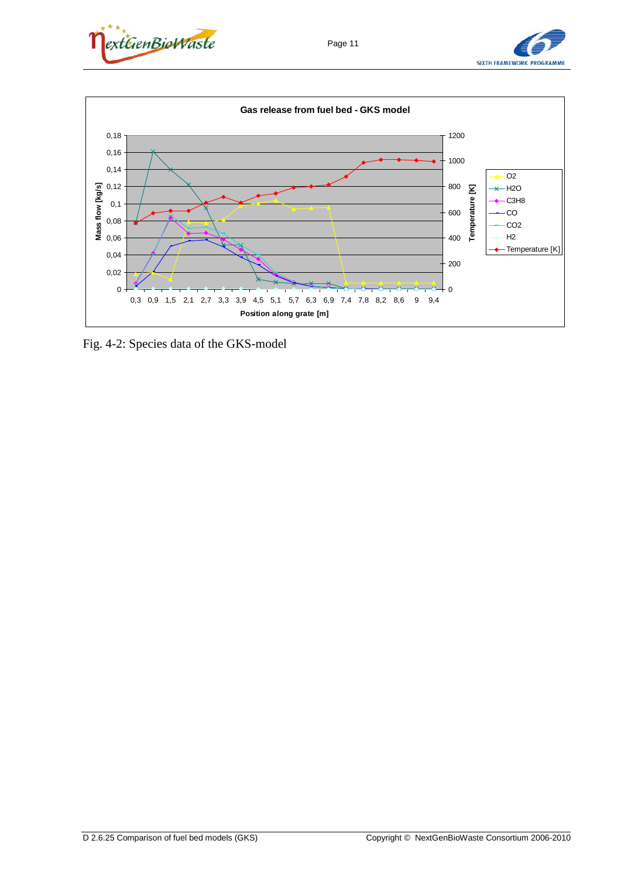





<span id="page-14-0"></span>Fig. 4-2: Species data of the GKS-model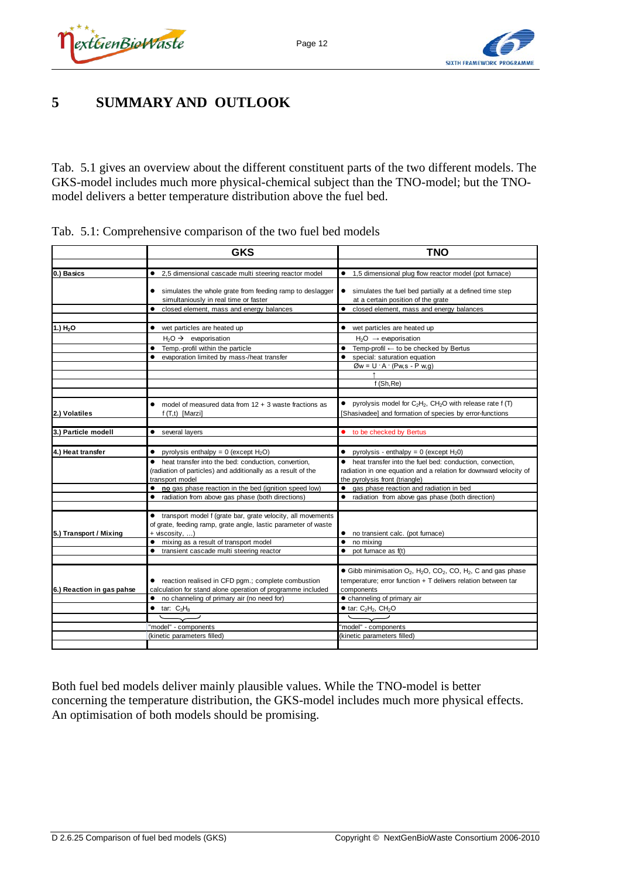



## **5 SUMMARY AND OUTLOOK**

[Tab. 5.1](#page-15-0) gives an overview about the different constituent parts of the two different models. The GKS-model includes much more physical-chemical subject than the TNO-model; but the TNOmodel delivers a better temperature distribution above the fuel bed.

|                           | <b>GKS</b>                                                                 | <b>TNO</b>                                                                                                            |
|---------------------------|----------------------------------------------------------------------------|-----------------------------------------------------------------------------------------------------------------------|
| 0.) Basics                | • 2,5 dimensional cascade multi steering reactor model                     | • 1,5 dimensional plug flow reactor model (pot furnace)                                                               |
|                           |                                                                            |                                                                                                                       |
|                           | • simulates the whole grate from feeding ramp to deslagger                 | • simulates the fuel bed partially at a defined time step                                                             |
|                           | simultaniously in real time or faster                                      | at a certain position of the grate                                                                                    |
|                           | • closed element, mass and energy balances                                 | $\bullet$<br>closed element, mass and energy balances                                                                 |
|                           |                                                                            |                                                                                                                       |
| 1.) H <sub>2</sub> O      | • wet particles are heated up                                              | • wet particles are heated up                                                                                         |
|                           | $H_2O \rightarrow$ evaporisation                                           | $H_2O \rightarrow \alpha$ evaporisation                                                                               |
|                           | Temp.-profil within the particle<br>٠                                      | $\bullet$ Temp-profil $\leftarrow$ to be checked by Bertus                                                            |
|                           | evaporation limited by mass-/heat transfer<br>$\bullet$                    | special: saturation equation<br>$\bullet$                                                                             |
|                           |                                                                            | $\varnothing w = U \cdot A \cdot (P w, s - P w, g)$                                                                   |
|                           |                                                                            |                                                                                                                       |
|                           |                                                                            | f(Sh, Re)                                                                                                             |
|                           | model of measured data from $12 + 3$ waste fractions as                    | • pyrolysis model for $C_2H_2$ , CH <sub>2</sub> O with release rate f (T)                                            |
| 2.) Volatiles             | $f(T,t)$ [Marzi]                                                           | [Shasivadee] and formation of species by error-functions                                                              |
|                           |                                                                            |                                                                                                                       |
| 3.) Particle modell       | • several layers                                                           | • to be checked by Bertus                                                                                             |
|                           |                                                                            |                                                                                                                       |
| 4.) Heat transfer         | • pyrolysis enthalpy = $0$ (except H <sub>2</sub> O)                       | • pyrolysis - enthalpy = 0 (except $H_2$ 0)                                                                           |
|                           | • heat transfer into the bed: conduction, convertion,                      | • heat transfer into the fuel bed: conduction, convection,                                                            |
|                           | (radiation of particles) and additionally as a result of the               | radiation in one equation and a relation for downward velocity of                                                     |
|                           | transport model<br>• no gas phase reaction in the bed (ignition speed low) | the pyrolysis front (triangle)<br>• qas phase reaction and radiation in bed                                           |
|                           | • radiation from above gas phase (both directions)                         | • radiation from above gas phase (both direction)                                                                     |
|                           |                                                                            |                                                                                                                       |
|                           | • transport model f (grate bar, grate velocity, all movements              |                                                                                                                       |
|                           | of grate, feeding ramp, grate angle, lastic parameter of waste             |                                                                                                                       |
| 5.) Transport / Mixing    | + viscosity, )                                                             | • no transient calc. (pot furnace)                                                                                    |
|                           | • mixing as a result of transport model                                    | $\bullet$<br>no mixing                                                                                                |
|                           | transient cascade multi steering reactor                                   | $\bullet$ pot furnace as $f(t)$                                                                                       |
|                           |                                                                            | $\bullet$ Gibb minimisation O <sub>2</sub> , H <sub>2</sub> O, CO <sub>2</sub> , CO, H <sub>2</sub> , C and gas phase |
|                           | • reaction realised in CFD pgm.; complete combustion                       | temperature; error function + T delivers relation between tar                                                         |
| 6.) Reaction in gas pahse | calculation for stand alone operation of programme included                | components                                                                                                            |
|                           | • no channeling of primary air (no need for)                               | • channeling of primary air                                                                                           |
|                           | $\bullet$ tar: $C_3H_8$                                                    | $\bullet$ tar: $C_2H_2$ , $CH_2O$                                                                                     |
|                           |                                                                            |                                                                                                                       |
|                           | "model" - components                                                       | "model" - components                                                                                                  |
|                           | (kinetic parameters filled)                                                | (kinetic parameters filled)                                                                                           |
|                           |                                                                            |                                                                                                                       |

<span id="page-15-0"></span>Tab. 5.1: Comprehensive comparison of the two fuel bed models

Both fuel bed models deliver mainly plausible values. While the TNO-model is better concerning the temperature distribution, the GKS-model includes much more physical effects. An optimisation of both models should be promising.